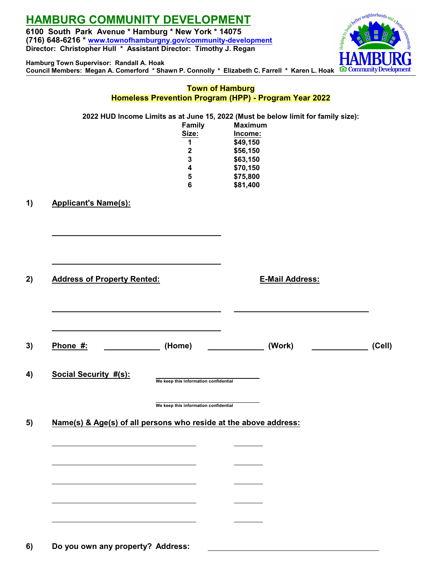**Hamburg Town Supervisor: Randall A. Hoak**

**6100 South Park Avenue \* Hamburg \* New York \* 14075 (716) 648-6216 \* [www.townofhamburgny.gov/community-development](http://www.townofhamburgny.com/cdbg) Director: Christopher Hull \* Assistant Director: Timothy J. Regan**

nettet neighborhoods and a b **Council Members: Megan A. Comerford \* Shawn P. Connolly \* Elizabeth C. Farrell \* Karen L. Hoak E** Community Dev

|                                                                  |                                                                                            | <b>Town of Hamburg</b><br>Homeless Prevention Program (HPP) - Program Year 2022                                                                                                        |        |
|------------------------------------------------------------------|--------------------------------------------------------------------------------------------|----------------------------------------------------------------------------------------------------------------------------------------------------------------------------------------|--------|
|                                                                  | Family<br>Size:<br>1<br>$\bf 2$<br>$\mathbf{3}$<br>$\boldsymbol{4}$<br>5<br>$6\phantom{1}$ | 2022 HUD Income Limits as at June 15, 2022 (Must be below limit for family size):<br><b>Maximum</b><br>Income:<br>\$49,150<br>\$56,150<br>\$63,150<br>\$70,150<br>\$75,800<br>\$81,400 |        |
| <b>Applicant's Name(s):</b>                                      |                                                                                            |                                                                                                                                                                                        |        |
| <b>Address of Property Rented:</b>                               |                                                                                            | <b>E-Mail Address:</b>                                                                                                                                                                 |        |
|                                                                  |                                                                                            |                                                                                                                                                                                        |        |
| Phone #:                                                         | (Home)                                                                                     | (Work)                                                                                                                                                                                 | (Cell) |
| <b>Social Security #(s):</b>                                     | We keep this information confidential                                                      |                                                                                                                                                                                        |        |
| Name(s) & Age(s) of all persons who reside at the above address: | We keep this information confidential                                                      |                                                                                                                                                                                        |        |
|                                                                  |                                                                                            |                                                                                                                                                                                        |        |
|                                                                  |                                                                                            |                                                                                                                                                                                        |        |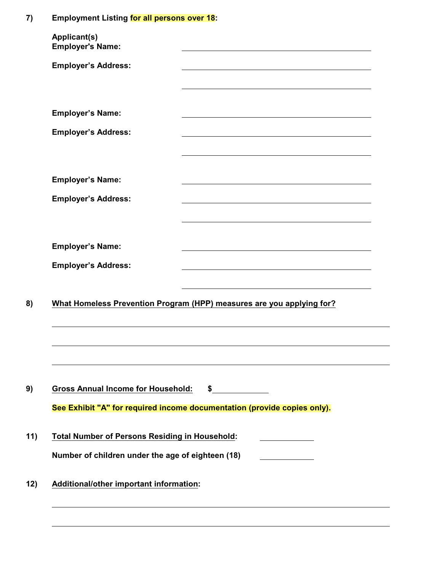## **7) Employment Listing for all persons over 18:**

| <b>Employer's Name:</b>                                                                                    |                                                                                                                                                                                                                               |
|------------------------------------------------------------------------------------------------------------|-------------------------------------------------------------------------------------------------------------------------------------------------------------------------------------------------------------------------------|
| <b>Employer's Address:</b>                                                                                 |                                                                                                                                                                                                                               |
| <b>Employer's Name:</b>                                                                                    |                                                                                                                                                                                                                               |
|                                                                                                            | the control of the control of the control of the control of the control of the control of the control of the control of the control of the control of the control of the control of the control of the control of the control |
| <b>Employer's Address:</b>                                                                                 |                                                                                                                                                                                                                               |
| <b>Employer's Name:</b>                                                                                    |                                                                                                                                                                                                                               |
| <b>Employer's Address:</b>                                                                                 |                                                                                                                                                                                                                               |
|                                                                                                            |                                                                                                                                                                                                                               |
| <b>Employer's Name:</b>                                                                                    |                                                                                                                                                                                                                               |
|                                                                                                            |                                                                                                                                                                                                                               |
|                                                                                                            |                                                                                                                                                                                                                               |
|                                                                                                            | What Homeless Prevention Program (HPP) measures are you applying for?                                                                                                                                                         |
| <b>Employer's Address:</b><br><b>Gross Annual Income for Household:</b>                                    | $\frac{1}{2}$                                                                                                                                                                                                                 |
|                                                                                                            | See Exhibit "A" for required income documentation (provide copies only).                                                                                                                                                      |
|                                                                                                            |                                                                                                                                                                                                                               |
| <b>Total Number of Persons Residing in Household:</b><br>Number of children under the age of eighteen (18) |                                                                                                                                                                                                                               |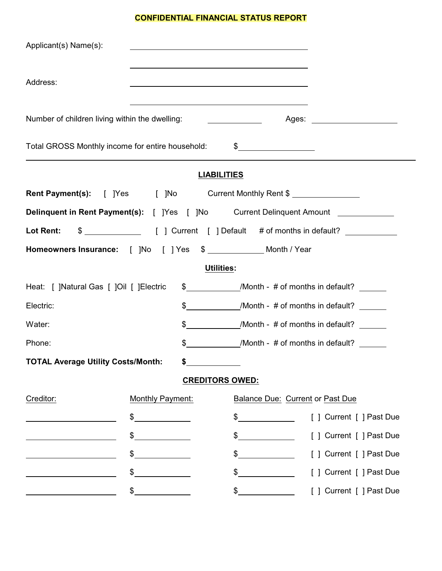## **CONFIDENTIAL FINANCIAL STATUS REPORT**

| Applicant(s) Name(s):                                 |                                                                                  |                                                |                                                                                                                                                                                                                                |  |
|-------------------------------------------------------|----------------------------------------------------------------------------------|------------------------------------------------|--------------------------------------------------------------------------------------------------------------------------------------------------------------------------------------------------------------------------------|--|
| Address:                                              |                                                                                  |                                                |                                                                                                                                                                                                                                |  |
| Number of children living within the dwelling:        |                                                                                  |                                                | Ages: the contract of the contract of the contract of the contract of the contract of the contract of the contract of the contract of the contract of the contract of the contract of the contract of the contract of the cont |  |
| Total GROSS Monthly income for entire household: \$   |                                                                                  |                                                |                                                                                                                                                                                                                                |  |
|                                                       |                                                                                  | <b>LIABILITIES</b>                             |                                                                                                                                                                                                                                |  |
| Rent Payment(s): [ ]Yes [ ]No Current Monthly Rent \$ |                                                                                  |                                                |                                                                                                                                                                                                                                |  |
|                                                       | Delinquent in Rent Payment(s): [ ]Yes [ ]No Current Delinquent Amount __________ |                                                |                                                                                                                                                                                                                                |  |
| Lot Rent:                                             |                                                                                  |                                                |                                                                                                                                                                                                                                |  |
|                                                       | Homeowners Insurance: [ ]No   [ ] Yes \$ ____________ Month / Year               |                                                |                                                                                                                                                                                                                                |  |
|                                                       |                                                                                  | <b>Utilities:</b>                              |                                                                                                                                                                                                                                |  |
| Heat: [ ]Natural Gas [ ]Oil [ ]Electric               |                                                                                  | \$ /Month - # of months in default?            |                                                                                                                                                                                                                                |  |
| Electric:                                             |                                                                                  | \$ /Month - # of months in default?            |                                                                                                                                                                                                                                |  |
| Water:                                                |                                                                                  | $\frac{1}{2}$ /Month - # of months in default? |                                                                                                                                                                                                                                |  |
| \$<br>/Month - $\#$ of months in default?<br>Phone:   |                                                                                  |                                                |                                                                                                                                                                                                                                |  |
| <b>TOTAL Average Utility Costs/Month:</b>             |                                                                                  |                                                |                                                                                                                                                                                                                                |  |
|                                                       |                                                                                  | <b>CREDITORS OWED:</b>                         |                                                                                                                                                                                                                                |  |
| Creditor:                                             | Monthly Payment:                                                                 | Balance Due: Current or Past Due               |                                                                                                                                                                                                                                |  |
|                                                       | \$                                                                               | \$                                             | [ ] Current [ ] Past Due                                                                                                                                                                                                       |  |
|                                                       | \$                                                                               | \$                                             | [ ] Current [ ] Past Due                                                                                                                                                                                                       |  |
|                                                       | \$                                                                               | $\sim$                                         | [ ] Current [ ] Past Due                                                                                                                                                                                                       |  |
|                                                       | \$                                                                               | \$                                             | [ ] Current [ ] Past Due                                                                                                                                                                                                       |  |
|                                                       | $\frac{1}{2}$                                                                    | $\sim$                                         | [ ] Current [ ] Past Due                                                                                                                                                                                                       |  |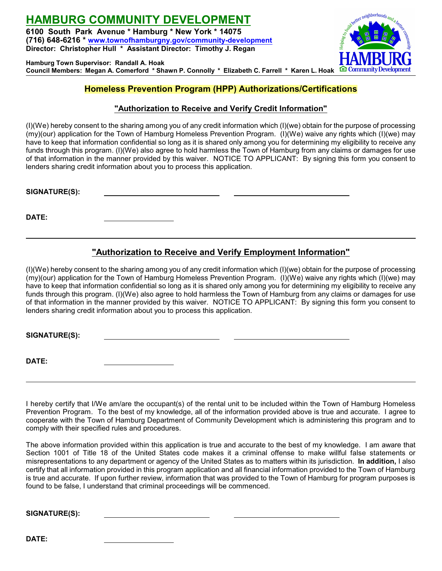**HAMBURG COMMUNITY DEVELOPMENT 6100 South Park Avenue \* Hamburg \* New York \* 14075 (716) 648-6216 \* [www.townofhamburgny.gov/community-development](http://www.townofhamburgny.com/cdbg) Director: Christopher Hull \* Assistant Director: Timothy J. Regan**

**Hamburg Town Supervisor: Randall A. Hoak Council Members: Megan A. Comerford \* Shawn P. Connolly \* Elizabeth C. Farrell \* Karen L. Hoak**

## **Homeless Prevention Program (HPP) Authorizations/Certifications**

### **"Authorization to Receive and Verify Credit Information"**

(I)(We) hereby consent to the sharing among you of any credit information which (I)(we) obtain for the purpose of processing (my)(our) application for the Town of Hamburg Homeless Prevention Program. (I)(We) waive any rights which (I)(we) may have to keep that information confidential so long as it is shared only among you for determining my eligibility to receive any funds through this program. (I)(We) also agree to hold harmless the Town of Hamburg from any claims or damages for use of that information in the manner provided by this waiver. NOTICE TO APPLICANT: By signing this form you consent to lenders sharing credit information about you to process this application.

**SIGNATURE(S):** 

**DATE:** 

### **"Authorization to Receive and Verify Employment Information"**

(I)(We) hereby consent to the sharing among you of any credit information which (I)(we) obtain for the purpose of processing (my)(our) application for the Town of Hamburg Homeless Prevention Program. (I)(We) waive any rights which (I)(we) may have to keep that information confidential so long as it is shared only among you for determining my eligibility to receive any funds through this program. (I)(We) also agree to hold harmless the Town of Hamburg from any claims or damages for use of that information in the manner provided by this waiver. NOTICE TO APPLICANT: By signing this form you consent to lenders sharing credit information about you to process this application.

**SIGNATURE(S):** 

**DATE:** 

I hereby certify that I/We am/are the occupant(s) of the rental unit to be included within the Town of Hamburg Homeless Prevention Program. To the best of my knowledge, all of the information provided above is true and accurate. I agree to cooperate with the Town of Hamburg Department of Community Development which is administering this program and to comply with their specified rules and procedures.

The above information provided within this application is true and accurate to the best of my knowledge. I am aware that Section 1001 of Title 18 of the United States code makes it a criminal offense to make willful false statements or misrepresentations to any department or agency of the United States as to matters within its jurisdiction. **In addition,** I also certify that all information provided in this program application and all financial information provided to the Town of Hamburg is true and accurate. If upon further review, information that was provided to the Town of Hamburg for program purposes is found to be false, I understand that criminal proceedings will be commenced.

**SIGNATURE(S):** 

**DATE:** 

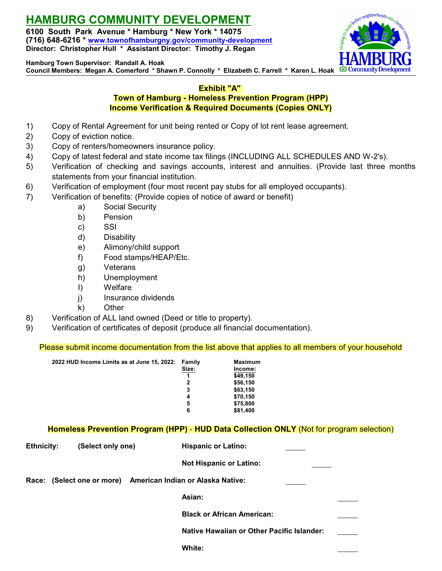**6100 South Park Avenue \* Hamburg \* New York \* 14075 (716) 648-6216 \* [www.townofhamburgny.gov/community-development](http://www.townofhamburgny.com/cdbg) Director: Christopher Hull \* Assistant Director: Timothy J. Regan**



**Hamburg Town Supervisor: Randall A. Hoak**

**Council Members: Megan A. Comerford \* Shawn P. Connolly \* Elizabeth C. Farrell \* Karen L. Hoak**

### **Exhibit "A"**

### **Town of Hamburg - Homeless Prevention Program (HPP) Income Verification & Required Documents (Copies ONLY)**

- 1) Copy of Rental Agreement for unit being rented or Copy of lot rent lease agreement.
- 2) Copy of eviction notice.
- 3) Copy of renters/homeowners insurance policy.
- 4) Copy of latest federal and state income tax filings (INCLUDING ALL SCHEDULES AND W-2's).
- 5) Verification of checking and savings accounts, interest and annuities. (Provide last three months statements from your financial institution.
- 6) Verification of employment (four most recent pay stubs for all employed occupants).
- 7) Verification of benefits: (Provide copies of notice of award or benefit)
	- a) Social Security
	- b) Pension
	- c) SSI
	- d) Disability
	- e) Alimony/child support
	- f) Food stamps/HEAP/Etc.
	- g) Veterans
	- h) Unemployment
	- I) Welfare
	- j) Insurance dividends
	- k) Other
- 8) Verification of ALL land owned (Deed or title to property).
- 9) Verification of certificates of deposit (produce all financial documentation).

Please submit income documentation from the list above that applies to all members of your household

| 2022 HUD Income Limits as at June 15, 2022: | Family | Maximum  |
|---------------------------------------------|--------|----------|
|                                             | Size:  | Income:  |
|                                             |        | \$49,150 |
|                                             | 2      | \$56,150 |
|                                             | 3      | \$63,150 |
|                                             | 4      | \$70,150 |
|                                             | 5      | \$75,800 |
|                                             | 6      | \$81,400 |

### **Homeless Prevention Program (HPP)** - **HUD Data Collection ONLY** (Not for program selection)

| <b>Ethnicity:</b> | (Select only one) | <b>Hispanic or Latino:</b>                             |  |
|-------------------|-------------------|--------------------------------------------------------|--|
|                   |                   | <b>Not Hispanic or Latino:</b>                         |  |
| <b>Race:</b>      |                   | (Select one or more) American Indian or Alaska Native: |  |
|                   |                   | Asian:                                                 |  |
|                   |                   | <b>Black or African American:</b>                      |  |
|                   |                   | Native Hawaiian or Other Pacific Islander:             |  |
|                   |                   | White:                                                 |  |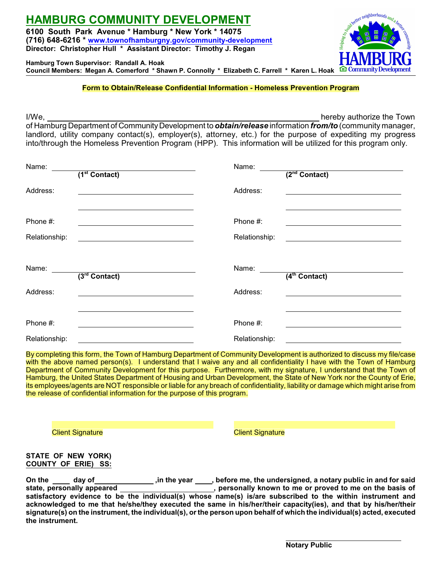**6100 South Park Avenue \* Hamburg \* New York \* 14075 (716) 648-6216 \* [www.townofhamburgny.gov/community-development](http://www.townofhamburgny.com/cdbg) Director: Christopher Hull \* Assistant Director: Timothy J. Regan**

**Hamburg Town Supervisor: Randall A. Hoak Council Members: Megan A. Comerford \* Shawn P. Connolly \* Elizabeth C. Farrell \* Karen L. Hoak**

### **Form to Obtain/Release Confidential Information - Homeless Prevention Program**

I/We, hereby authorize the Town

of Hamburg Department of Community Development to *obtain/release* information *from/to* (community manager, landlord, utility company contact(s), employer(s), attorney, etc.) for the purpose of expediting my progress into/through the Homeless Prevention Program (HPP). This information will be utilized for this program only.

| Name:                     | (1 <sup>st</sup> Contact)   | Name:                     | $(2nd$ Contact)              |
|---------------------------|-----------------------------|---------------------------|------------------------------|
| Address:                  |                             | Address:                  |                              |
| Phone #:<br>Relationship: |                             | Phone #:<br>Relationship: |                              |
| Name:                     | $\overline{3^{rd}$ Contact) | Name:                     | $\overline{(4^{th}$ Contact) |
| Address:                  |                             | Address:                  |                              |
| Phone #:<br>Relationship: |                             | Phone #:<br>Relationship: |                              |

By completing this form, the Town of Hamburg Department of Community Development is authorized to discuss my file/case with the above named person(s). I understand that I waive any and all confidentiality I have with the Town of Hamburg Department of Community Development for this purpose. Furthermore, with my signature, I understand that the Town of Hamburg, the United States Department of Housing and Urban Development, the State of New York nor the County of Erie, its employees/agents are NOT responsible or liable for any breach of confidentiality, liability or damage which might arise from the release of confidential information for the purpose of this program.

**Client Signature** Client Signature Client Signature

#### **STATE OF NEW YORK) COUNTY OF ERIE) SS:**

On the \_\_\_\_\_ day of\_\_\_\_\_\_\_\_\_\_\_\_\_\_\_\_\_\_\_\_,in the year \_\_\_\_\_, before me, the undersigned, a notary public in and for said<br>state, personally appeared **the interpared**, personally known to me or proved to me on the basis of  $\overline{\phantom{a}}$ , personally known to me or proved to me on the basis of **satisfactory evidence to be the individual(s) whose name(s) is/are subscribed to the within instrument and acknowledged to me that he/she/they executed the same in his/her/their capacity(ies), and that by his/her/their signature(s) on the instrument, the individual(s), or the person upon behalf of which the individual(s) acted, executed the instrument.**

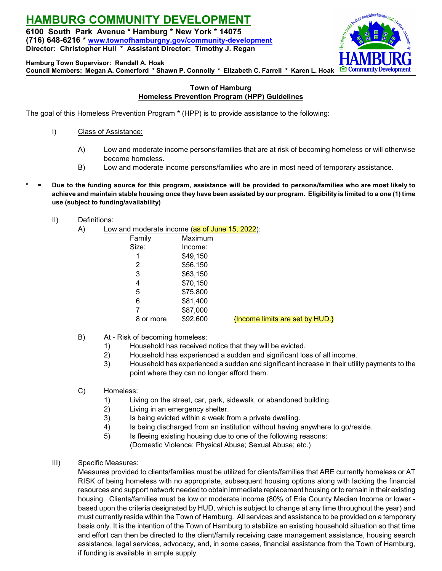**6100 South Park Avenue \* Hamburg \* New York \* 14075 (716) 648-6216 \* [www.townofhamburgny.gov/community-development](http://www.townofhamburgny.com/cdbg) Director: Christopher Hull \* Assistant Director: Timothy J. Regan**



**Hamburg Town Supervisor: Randall A. Hoak**

**Council Members: Megan A. Comerford \* Shawn P. Connolly \* Elizabeth C. Farrell \* Karen L. Hoak**

### **Town of Hamburg Homeless Prevention Program (HPP) Guidelines**

The goal of this Homeless Prevention Program **\*** (HPP) is to provide assistance to the following:

- I) Class of Assistance:
	- A) Low and moderate income persons/families that are at risk of becoming homeless or will otherwise become homeless.
	- B) Low and moderate income persons/families who are in most need of temporary assistance.
- **\* = Due to the funding source for this program, assistance will be provided to persons/families who are most likely to achieve and maintain stable housing once they have been assisted by our program. Eligibility is limited to a one (1) time use (subject to funding/availability)**
	- II) Definitions:
		- A) Low and moderate income (as of June 15, 2022):

| Family    | Maximum  |                                 |
|-----------|----------|---------------------------------|
| Size:     | Income:  |                                 |
| 1         | \$49,150 |                                 |
| 2         | \$56,150 |                                 |
| 3         | \$63,150 |                                 |
| 4         | \$70,150 |                                 |
| 5         | \$75,800 |                                 |
| 6         | \$81,400 |                                 |
| 7         | \$87,000 |                                 |
| 8 or more | \$92,600 | {Income limits are set by HUD.} |
|           |          |                                 |

- B) At Risk of becoming homeless:
	- 1) Household has received notice that they will be evicted.
	- 2) Household has experienced a sudden and significant loss of all income.
	- 3) Household has experienced a sudden and significant increase in their utility payments to the point where they can no longer afford them.
- C) Homeless:
	- 1) Living on the street, car, park, sidewalk, or abandoned building.
	- 2) Living in an emergency shelter.
	- 3) Is being evicted within a week from a private dwelling.
	- 4) Is being discharged from an institution without having anywhere to go/reside.
	- 5) Is fleeing existing housing due to one of the following reasons: (Domestic Violence; Physical Abuse; Sexual Abuse; etc.)
- III) Specific Measures:

Measures provided to clients/families must be utilized for clients/families that ARE currently homeless or AT RISK of being homeless with no appropriate, subsequent housing options along with lacking the financial resources and support network needed to obtain immediate replacement housing or to remain in their existing housing. Clients/families must be low or moderate income (80% of Erie County Median Income or lower based upon the criteria designated by HUD, which is subject to change at any time throughout the year) and must currently reside within the Town of Hamburg. All services and assistance to be provided on a temporary basis only. It is the intention of the Town of Hamburg to stabilize an existing household situation so that time and effort can then be directed to the client/family receiving case management assistance, housing search assistance, legal services, advocacy, and, in some cases, financial assistance from the Town of Hamburg, if funding is available in ample supply.